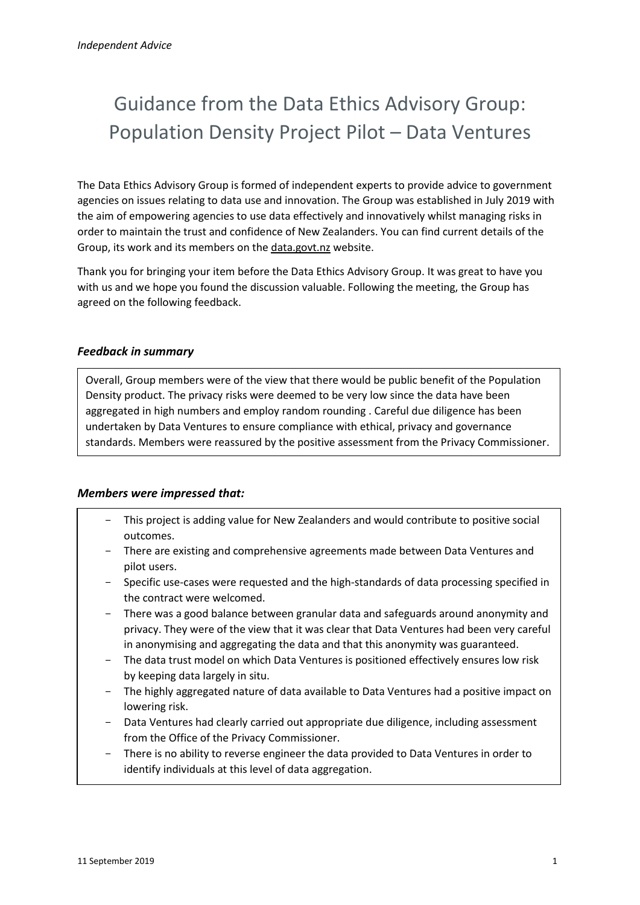# Guidance from the Data Ethics Advisory Group: Population Density Project Pilot – Data Ventures

The Data Ethics Advisory Group is formed of independent experts to provide advice to government agencies on issues relating to data use and innovation. The Group was established in July 2019 with the aim of empowering agencies to use data effectively and innovatively whilst managing risks in order to maintain the trust and confidence of New Zealanders. You can find current details of the Group, its work and its members on the [data.govt.nz](https://data.govt.nz/about/government-chief-data-steward-gcds/data-ethics-advisory-group/) website.

Thank you for bringing your item before the Data Ethics Advisory Group. It was great to have you with us and we hope you found the discussion valuable. Following the meeting, the Group has agreed on the following feedback.

### *Feedback in summary*

Overall, Group members were of the view that there would be public benefit of the Population Density product. The privacy risks were deemed to be very low since the data have been aggregated in high numbers and employ random rounding . Careful due diligence has been undertaken by Data Ventures to ensure compliance with ethical, privacy and governance standards. Members were reassured by the positive assessment from the Privacy Commissioner.

# *Members were impressed that:*

- This project is adding value for New Zealanders and would contribute to positive social outcomes.
- There are existing and comprehensive agreements made between Data Ventures and pilot users.
- Specific use-cases were requested and the high-standards of data processing specified in the contract were welcomed.
- There was a good balance between granular data and safeguards around anonymity and privacy. They were of the view that it was clear that Data Ventures had been very careful in anonymising and aggregating the data and that this anonymity was guaranteed.
- The data trust model on which Data Ventures is positioned effectively ensures low risk by keeping data largely in situ.
- The highly aggregated nature of data available to Data Ventures had a positive impact on lowering risk.
- Data Ventures had clearly carried out appropriate due diligence, including assessment from the Office of the Privacy Commissioner.
- There is no ability to reverse engineer the data provided to Data Ventures in order to identify individuals at this level of data aggregation.